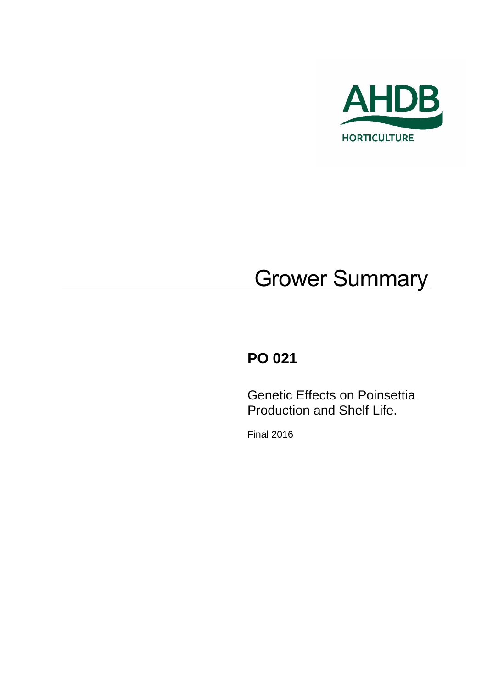

# **Grower Summary**

# **PO 021**

Genetic Effects on Poinsettia Production and Shelf Life.

Final 2016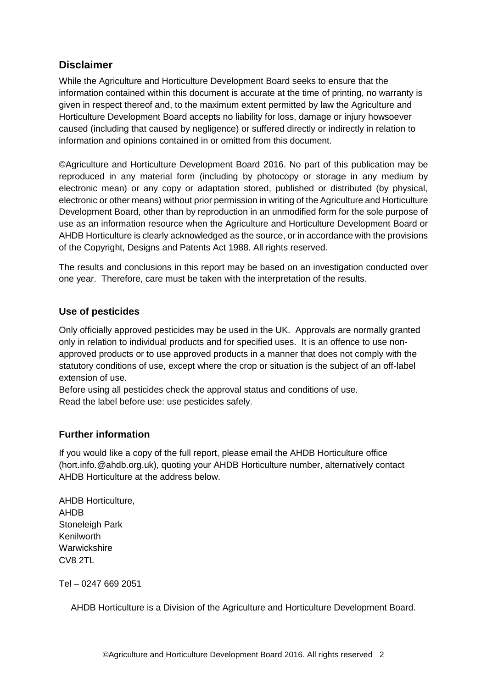## **Disclaimer**

While the Agriculture and Horticulture Development Board seeks to ensure that the information contained within this document is accurate at the time of printing, no warranty is given in respect thereof and, to the maximum extent permitted by law the Agriculture and Horticulture Development Board accepts no liability for loss, damage or injury howsoever caused (including that caused by negligence) or suffered directly or indirectly in relation to information and opinions contained in or omitted from this document.

©Agriculture and Horticulture Development Board 2016. No part of this publication may be reproduced in any material form (including by photocopy or storage in any medium by electronic mean) or any copy or adaptation stored, published or distributed (by physical, electronic or other means) without prior permission in writing of the Agriculture and Horticulture Development Board, other than by reproduction in an unmodified form for the sole purpose of use as an information resource when the Agriculture and Horticulture Development Board or AHDB Horticulture is clearly acknowledged as the source, or in accordance with the provisions of the Copyright, Designs and Patents Act 1988. All rights reserved.

The results and conclusions in this report may be based on an investigation conducted over one year. Therefore, care must be taken with the interpretation of the results.

#### **Use of pesticides**

Only officially approved pesticides may be used in the UK. Approvals are normally granted only in relation to individual products and for specified uses. It is an offence to use nonapproved products or to use approved products in a manner that does not comply with the statutory conditions of use, except where the crop or situation is the subject of an off-label extension of use.

Before using all pesticides check the approval status and conditions of use. Read the label before use: use pesticides safely.

#### **Further information**

If you would like a copy of the full report, please email the AHDB Horticulture office (hort.info.@ahdb.org.uk), quoting your AHDB Horticulture number, alternatively contact AHDB Horticulture at the address below.

AHDB Horticulture, AHDB Stoneleigh Park Kenilworth **Warwickshire** CV8 2TL

Tel – 0247 669 2051

AHDB Horticulture is a Division of the Agriculture and Horticulture Development Board.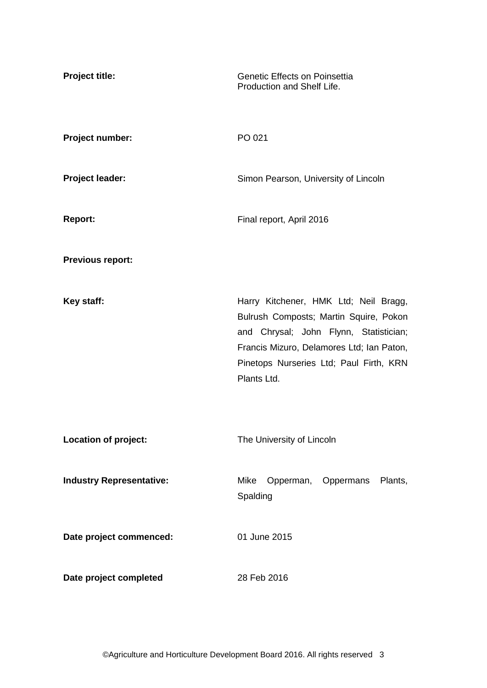| <b>Project title:</b>           | Genetic Effects on Poinsettia<br>Production and Shelf Life.                                                                                                                                                                      |
|---------------------------------|----------------------------------------------------------------------------------------------------------------------------------------------------------------------------------------------------------------------------------|
| Project number:                 | PO 021                                                                                                                                                                                                                           |
| <b>Project leader:</b>          | Simon Pearson, University of Lincoln                                                                                                                                                                                             |
| <b>Report:</b>                  | Final report, April 2016                                                                                                                                                                                                         |
| <b>Previous report:</b>         |                                                                                                                                                                                                                                  |
| Key staff:                      | Harry Kitchener, HMK Ltd; Neil Bragg,<br>Bulrush Composts; Martin Squire, Pokon<br>and Chrysal; John Flynn, Statistician;<br>Francis Mizuro, Delamores Ltd; Ian Paton,<br>Pinetops Nurseries Ltd; Paul Firth, KRN<br>Plants Ltd. |
| Location of project:            | The University of Lincoln                                                                                                                                                                                                        |
| <b>Industry Representative:</b> | Opperman, Oppermans<br>Mike<br>Plants,<br>Spalding                                                                                                                                                                               |
| Date project commenced:         | 01 June 2015                                                                                                                                                                                                                     |
| Date project completed          | 28 Feb 2016                                                                                                                                                                                                                      |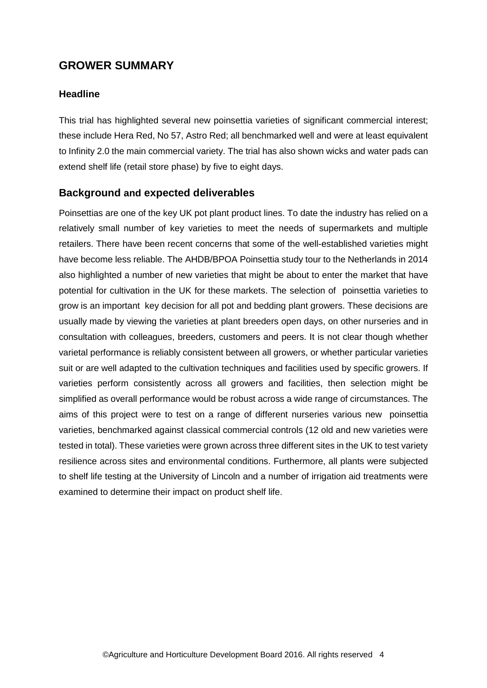## **GROWER SUMMARY**

#### **Headline**

This trial has highlighted several new poinsettia varieties of significant commercial interest; these include Hera Red, No 57, Astro Red; all benchmarked well and were at least equivalent to Infinity 2.0 the main commercial variety. The trial has also shown wicks and water pads can extend shelf life (retail store phase) by five to eight days.

#### **Background and expected deliverables**

Poinsettias are one of the key UK pot plant product lines. To date the industry has relied on a relatively small number of key varieties to meet the needs of supermarkets and multiple retailers. There have been recent concerns that some of the well-established varieties might have become less reliable. The AHDB/BPOA Poinsettia study tour to the Netherlands in 2014 also highlighted a number of new varieties that might be about to enter the market that have potential for cultivation in the UK for these markets. The selection of poinsettia varieties to grow is an important key decision for all pot and bedding plant growers. These decisions are usually made by viewing the varieties at plant breeders open days, on other nurseries and in consultation with colleagues, breeders, customers and peers. It is not clear though whether varietal performance is reliably consistent between all growers, or whether particular varieties suit or are well adapted to the cultivation techniques and facilities used by specific growers. If varieties perform consistently across all growers and facilities, then selection might be simplified as overall performance would be robust across a wide range of circumstances. The aims of this project were to test on a range of different nurseries various new poinsettia varieties, benchmarked against classical commercial controls (12 old and new varieties were tested in total). These varieties were grown across three different sites in the UK to test variety resilience across sites and environmental conditions. Furthermore, all plants were subjected to shelf life testing at the University of Lincoln and a number of irrigation aid treatments were examined to determine their impact on product shelf life.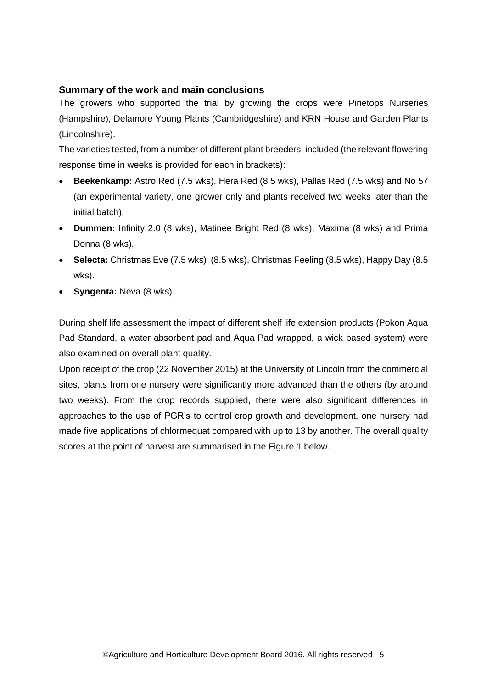#### **Summary of the work and main conclusions**

The growers who supported the trial by growing the crops were Pinetops Nurseries (Hampshire), Delamore Young Plants (Cambridgeshire) and KRN House and Garden Plants (Lincolnshire).

The varieties tested, from a number of different plant breeders, included (the relevant flowering response time in weeks is provided for each in brackets):

- **Beekenkamp:** Astro Red (7.5 wks), Hera Red (8.5 wks), Pallas Red (7.5 wks) and No 57 (an experimental variety, one grower only and plants received two weeks later than the initial batch).
- **Dummen:** Infinity 2.0 (8 wks), Matinee Bright Red (8 wks), Maxima (8 wks) and Prima Donna (8 wks).
- **Selecta:** Christmas Eve (7.5 wks) (8.5 wks), Christmas Feeling (8.5 wks), Happy Day (8.5 wks).
- **Syngenta:** Neva (8 wks).

During shelf life assessment the impact of different shelf life extension products (Pokon Aqua Pad Standard, a water absorbent pad and Aqua Pad wrapped, a wick based system) were also examined on overall plant quality.

Upon receipt of the crop (22 November 2015) at the University of Lincoln from the commercial sites, plants from one nursery were significantly more advanced than the others (by around two weeks). From the crop records supplied, there were also significant differences in approaches to the use of PGR's to control crop growth and development, one nursery had made five applications of chlormequat compared with up to 13 by another. The overall quality scores at the point of harvest are summarised in the Figure 1 below.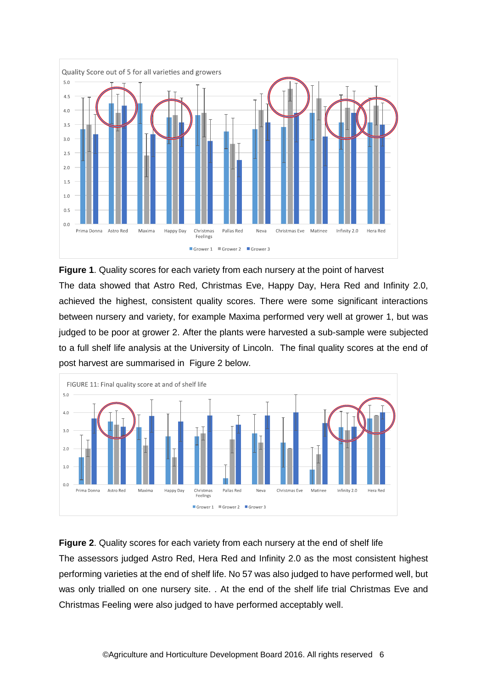

**Figure 1**. Quality scores for each variety from each nursery at the point of harvest The data showed that Astro Red, Christmas Eve, Happy Day, Hera Red and Infinity 2.0, achieved the highest, consistent quality scores. There were some significant interactions between nursery and variety, for example Maxima performed very well at grower 1, but was judged to be poor at grower 2. After the plants were harvested a sub-sample were subjected to a full shelf life analysis at the University of Lincoln. The final quality scores at the end of post harvest are summarised in Figure 2 below.



#### **Figure 2**. Quality scores for each variety from each nursery at the end of shelf life

The assessors judged Astro Red, Hera Red and Infinity 2.0 as the most consistent highest performing varieties at the end of shelf life. No 57 was also judged to have performed well, but was only trialled on one nursery site. . At the end of the shelf life trial Christmas Eve and Christmas Feeling were also judged to have performed acceptably well.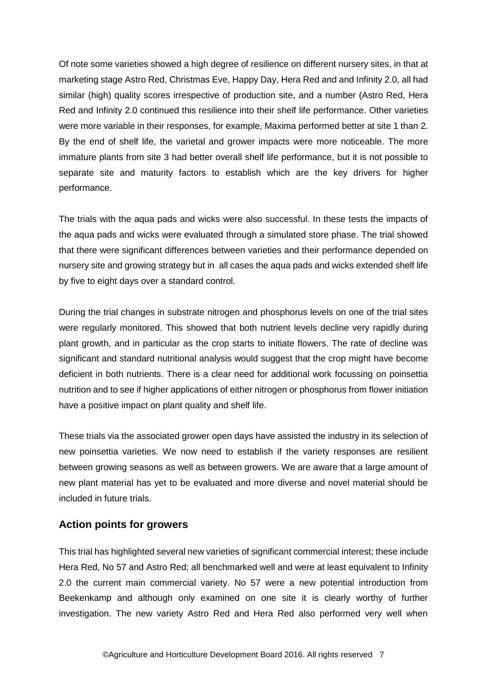Of note some varieties showed a high degree of resilience on different nursery sites, in that at marketing stage Astro Red, Christmas Eve, Happy Day, Hera Red and and Infinity 2.0, all had similar (high) quality scores irrespective of production site, and a number (Astro Red, Hera Red and Infinity 2.0 continued this resilience into their shelf life performance. Other varieties were more variable in their responses, for example, Maxima performed better at site 1 than 2. By the end of shelf life, the varietal and grower impacts were more noticeable. The more immature plants from site 3 had better overall shelf life performance, but it is not possible to separate site and maturity factors to establish which are the key drivers for higher performance.

The trials with the aqua pads and wicks were also successful. In these tests the impacts of the aqua pads and wicks were evaluated through a simulated store phase. The trial showed that there were significant differences between varieties and their performance depended on nursery site and growing strategy but in all cases the aqua pads and wicks extended shelf life by five to eight days over a standard control.

During the trial changes in substrate nitrogen and phosphorus levels on one of the trial sites were regularly monitored. This showed that both nutrient levels decline very rapidly during plant growth, and in particular as the crop starts to initiate flowers. The rate of decline was significant and standard nutritional analysis would suggest that the crop might have become deficient in both nutrients. There is a clear need for additional work focussing on poinsettia nutrition and to see if higher applications of either nitrogen or phosphorus from flower initiation have a positive impact on plant quality and shelf life.

These trials via the associated grower open days have assisted the industry in its selection of new poinsettia varieties. We now need to establish if the variety responses are resilient between growing seasons as well as between growers. We are aware that a large amount of new plant material has yet to be evaluated and more diverse and novel material should be included in future trials.

#### **Action points for growers**

This trial has highlighted several new varieties of significant commercial interest; these include Hera Red, No 57 and Astro Red; all benchmarked well and were at least equivalent to Infinity 2.0 the current main commercial variety. No 57 were a new potential introduction from Beekenkamp and although only examined on one site it is clearly worthy of further investigation. The new variety Astro Red and Hera Red also performed very well when